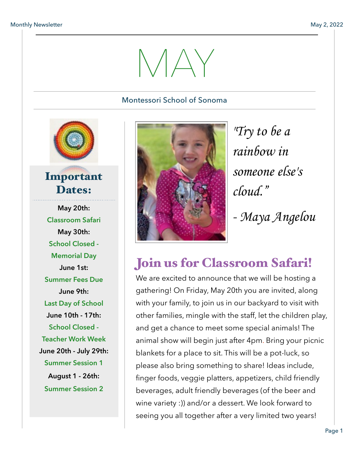# $NAY$

#### Montessori School of Sonoma



#### Important Dates:

**May 20th: Classroom Safari May 30th: School Closed - Memorial Day June 1st: Summer Fees Due June 9th: Last Day of School June 10th - 17th: School Closed - Teacher Work Week June 20th - July 29th: Summer Session 1 August 1 - 26th: Summer Session 2** 



*"Try to be a rainbow in someone else's cloud." - Maya Angelou*

## Join us for Classroom Safari!

We are excited to announce that we will be hosting a gathering! On Friday, May 20th you are invited, along with your family, to join us in our backyard to visit with other families, mingle with the staff, let the children play, and get a chance to meet some special animals! The animal show will begin just after 4pm. Bring your picnic blankets for a place to sit. This will be a pot-luck, so please also bring something to share! Ideas include, finger foods, veggie platters, appetizers, child friendly beverages, adult friendly beverages (of the beer and wine variety :)) and/or a dessert. We look forward to seeing you all together after a very limited two years!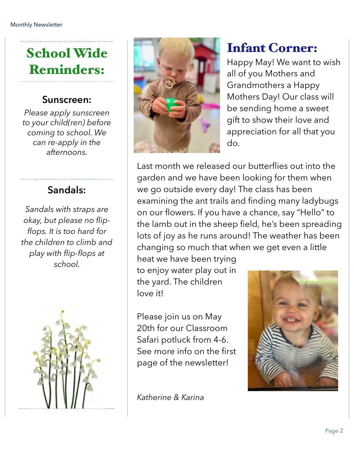# School Wide Reminders:

#### **Sunscreen:**

*Please apply sunscreen to your child(ren) before coming to school. We can re-apply in the afternoons.* 

#### **Sandals:**

*Sandals with straps are okay, but please no flipflops. It is too hard for the children to climb and play with flip-flops at school.* 





## Infant Corner:

Happy May! We want to wish all of you Mothers and Grandmothers a Happy Mothers Day! Our class will be sending home a sweet gift to show their love and appreciation for all that you do.

Last month we released our butterflies out into the garden and we have been looking for them when we go outside every day! The class has been examining the ant trails and finding many ladybugs on our flowers. If you have a chance, say "Hello" to the lamb out in the sheep field, he's been spreading lots of joy as he runs around! The weather has been changing so much that when we get even a little heat we have been trying

to enjoy water play out in the yard. The children love it!

Please join us on May 20th for our Classroom Safari potluck from 4-6. See more info on the first page of the newsletter!

*Katherine & Karina*

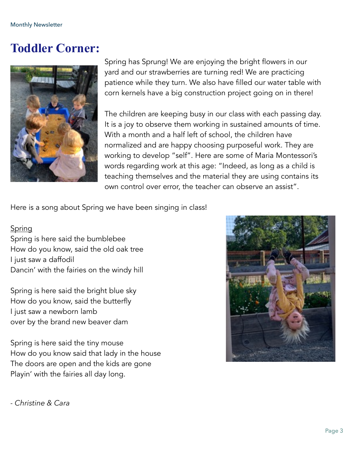#### **Toddler Corner:**



Spring has Sprung! We are enjoying the bright flowers in our yard and our strawberries are turning red! We are practicing patience while they turn. We also have filled our water table with corn kernels have a big construction project going on in there!

The children are keeping busy in our class with each passing day. It is a joy to observe them working in sustained amounts of time. With a month and a half left of school, the children have normalized and are happy choosing purposeful work. They are working to develop "self". Here are some of Maria Montessori's words regarding work at this age: "Indeed, as long as a child is teaching themselves and the material they are using contains its own control over error, the teacher can observe an assist".

Here is a song about Spring we have been singing in class!

#### Spring

Spring is here said the bumblebee How do you know, said the old oak tree I just saw a daffodil Dancin' with the fairies on the windy hill

Spring is here said the bright blue sky How do you know, said the butterfly I just saw a newborn lamb over by the brand new beaver dam

Spring is here said the tiny mouse How do you know said that lady in the house The doors are open and the kids are gone Playin' with the fairies all day long.



*- Christine & Cara*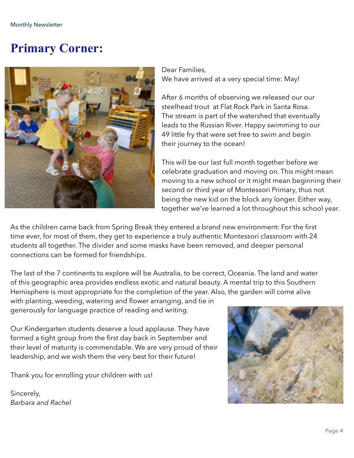### **Primary Corner:**



Dear Families, We have arrived at a very special time: May!

After 6 months of observing we released our our steelhead trout at Flat Rock Park in Santa Rosa. The stream is part of the watershed that eventually leads to the Russian River. Happy swimming to our 49 little fry that were set free to swim and begin their journey to the ocean!

This will be our last full month together before we celebrate graduation and moving on. This might mean moving to a new school or it might mean beginning their second or third year of Montessori Primary, thus not being the new kid on the block any longer. Either way, together we've learned a lot throughout this school year.

As the children came back from Spring Break they entered a brand new environment: For the first time ever, for most of them, they get to experience a truly authentic Montessori classroom with 24 students all together. The divider and some masks have been removed, and deeper personal connections can be formed for friendships.

The last of the 7 continents to explore will be Australia, to be correct, Oceania. The land and water of this geographic area provides endless exotic and natural beauty. A mental trip to this Southern Hemisphere is most appropriate for the completion of the year. Also, the garden will come alive with planting, weeding, watering and flower arranging, and tie in generously for language practice of reading and writing.

Our Kindergarten students deserve a loud applause. They have formed a tight group from the first day back in September and their level of maturity is commendable. We are very proud of their leadership, and we wish them the very best for their future!

Thank you for enrolling your children with us!

Sincerely, *Barbara and Rachel*

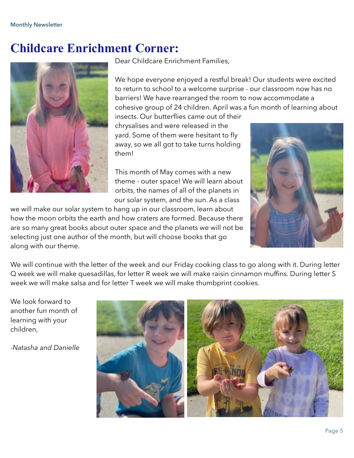#### **Childcare Enrichment Corner:**



Dear Childcare Enrichment Families,

We hope everyone enjoyed a restful break! Our students were excited to return to school to a welcome surprise - our classroom now has no barriers! We have rearranged the room to now accommodate a cohesive group of 24 children. April was a fun month of learning about

insects. Our butterflies came out of their chrysalises and were released in the yard. Some of them were hesitant to fly away, so we all got to take turns holding them!

This month of May comes with a new theme - outer space! We will learn about orbits, the names of all of the planets in our solar system, and the sun. As a class

we will make our solar system to hang up in our classroom, learn about how the moon orbits the earth and how craters are formed. Because there are so many great books about outer space and the planets we will not be selecting just one author of the month, but will choose books that go along with our theme.



We will continue with the letter of the week and our Friday cooking class to go along with it. During letter Q week we will make quesadillas, for letter R week we will make raisin cinnamon muffins. During letter S week we will make salsa and for letter T week we will make thumbprint cookies.

We look forward to another fun month of learning with your children,

*-Natasha and Danielle*